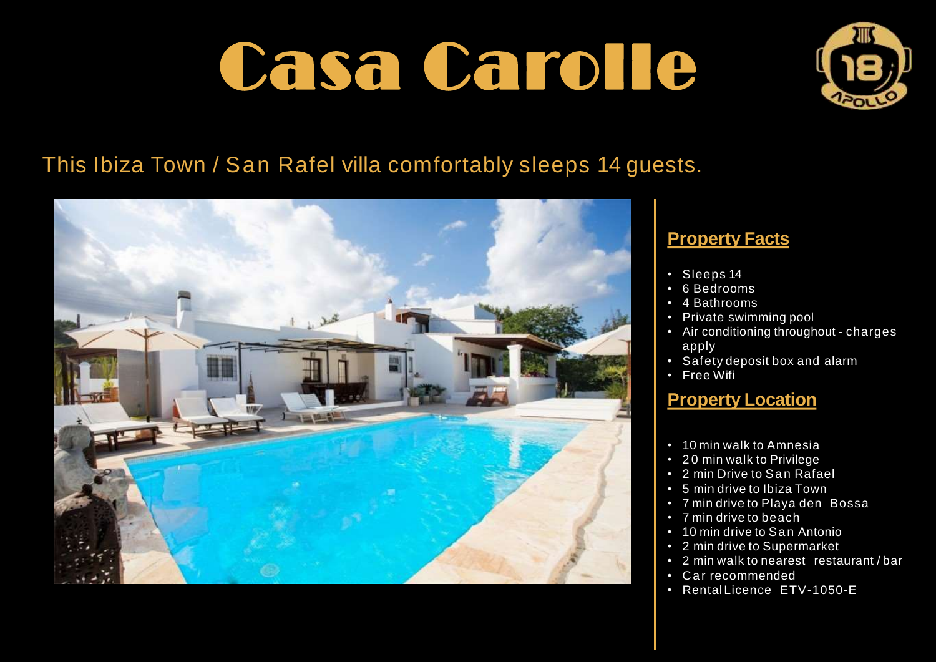

# This Ibiza Town / San Rafel villa comfortably sleeps 14 guests.



### **Property Facts**

- Sleeps 14
- 6 Bedrooms
- 4 Bathrooms
- Private swimming pool
- Air conditioning throughout charges apply
- Safety deposit box and alarm
- Free Wifi

### **Property Location**

- 10 min walk to Amnesia
- 2 0 min walk to Privilege
- 2 min Drive to San Rafael
- 5 min drive to Ibiza Town
- 7 min drive to Playa den Bossa
- 7 min drive to beach
- 10 min drive to San Antonio
- 2 min drive to Supermarket
- 2 min walk to nearest restaurant / bar
- Car recommended
- Rental Licence ETV-1050-E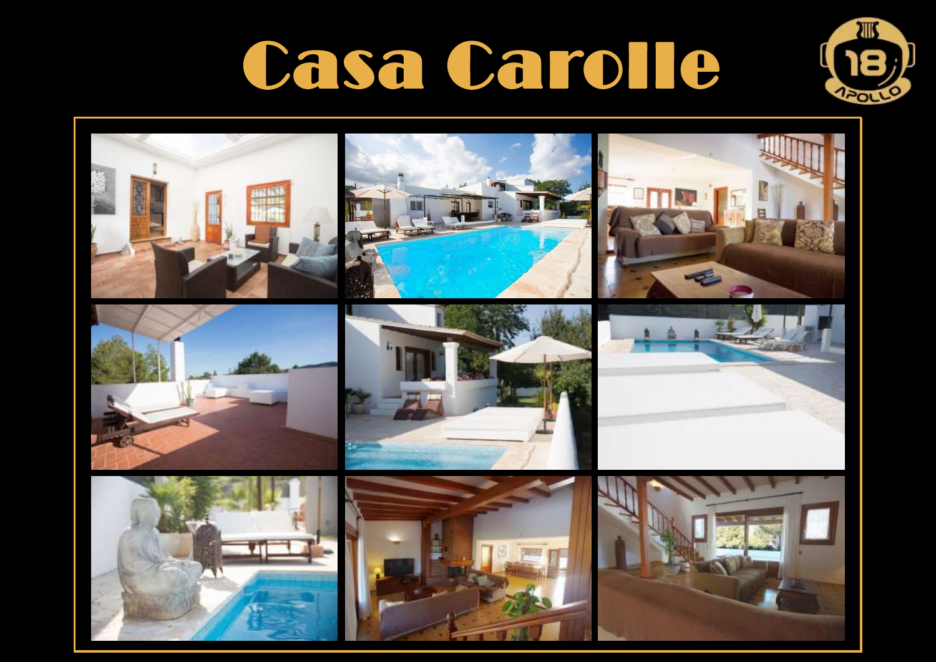

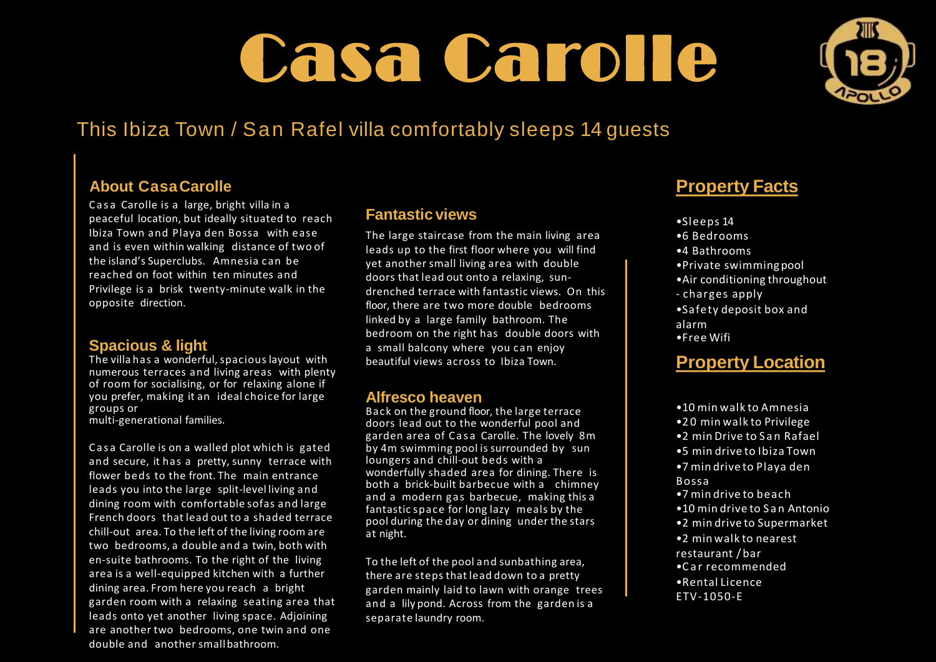

## This Ibiza Town / San Rafel villa comfortably sleeps 14 guests

#### **About CasaCarolle**

Casa Carolle is a large, bright villa in a peaceful location, but ideally situated to reach Ibiza Town and Playa den Bossa with ease and is even within walking distance of two of the island's Superclubs. Amnesia can be reached on foot within ten minutes and Privilege is a brisk twenty-minute walk in the opposite direction.

#### **Spacious & light**

The villa has a wonderful, spacious layout with numerous terraces and living areas with plenty of room for socialising, or for relaxing alone if you prefer, making it an ideal choice for large groups or multi-generational families.

Casa Carolle is on a walled plot which is gated and secure, it has a pretty, sunny terrace with flower beds to the front. The main entrance leads you into the large split-level living and dining room with comfortable sofas and large French doors that lead out to a shaded terrace chill-out area. To the left of the living room are two bedrooms, a double and a twin, both with en-suite bathrooms. To the right of the living area is a well-equipped kitchen with a further dining area. From here you reach a bright garden room with a relaxing seating area that leads onto yet another living space. Adjoining are another two bedrooms, one twin and one double and another smallbathroom.

#### **Fantastic views**

The large staircase from the main living area leads up to the first floor where you will find yet another small living area with double doors that lead out onto a relaxing, sundrenched terrace with fantastic views. On this floor, there are two more double bedrooms linked by a large family bathroom. The bedroom on the right has double doors with a small balcony where you can enjoy beautiful views across to Ibiza Town.

#### **Alfresco heaven**

Back on the ground floor, the large terrace doors lead out to the wonderful pool and garden area of Casa Carolle. The lovely 8m by 4m swimming pool is surrounded by sun loungers and chill-out beds with a wonderfully shaded area for dining. There is both a brick-built barbecue with a chimney and a modern gas barbecue, making this a fantastic space for long lazy meals by the pool during the day or dining under the stars at night.

To the left of the pool and sunbathing area, there are steps that lead down to a pretty garden mainly laid to lawn with orange trees and a lily pond. Across from the garden is a separate laundry room.

### **Property Facts**

- •Sleeps 14
- •6 Bedrooms
- •4 Bathrooms
- •Private swimmingpool
- •Air conditioning throughout
- charges apply
- •Safety deposit box and alarm
- •Free Wifi

### **Property Location**

- •10 min walk to Amnesia
- •2 0 min walk to Privilege
- •2 min Drive to S a n Rafael
- •5 min drive to Ibiza Town
- •7 min drive to Playa den Bossa
- •7 min drive to beach
- •10 min drive to S a n Antonio
- •2 min drive to Supermarket
- •2 min walk to nearest restaurant / bar
- •C a r recommended
- •Rental Licence ETV-1050-E